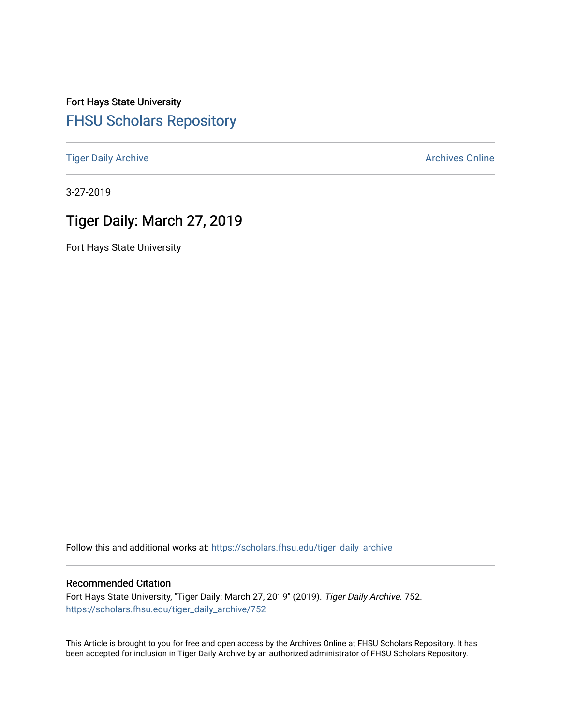Fort Hays State University [FHSU Scholars Repository](https://scholars.fhsu.edu/) 

[Tiger Daily Archive](https://scholars.fhsu.edu/tiger_daily_archive) **Archives** Online Archives Online

3-27-2019

# Tiger Daily: March 27, 2019

Fort Hays State University

Follow this and additional works at: [https://scholars.fhsu.edu/tiger\\_daily\\_archive](https://scholars.fhsu.edu/tiger_daily_archive?utm_source=scholars.fhsu.edu%2Ftiger_daily_archive%2F752&utm_medium=PDF&utm_campaign=PDFCoverPages)

#### Recommended Citation

Fort Hays State University, "Tiger Daily: March 27, 2019" (2019). Tiger Daily Archive. 752. [https://scholars.fhsu.edu/tiger\\_daily\\_archive/752](https://scholars.fhsu.edu/tiger_daily_archive/752?utm_source=scholars.fhsu.edu%2Ftiger_daily_archive%2F752&utm_medium=PDF&utm_campaign=PDFCoverPages)

This Article is brought to you for free and open access by the Archives Online at FHSU Scholars Repository. It has been accepted for inclusion in Tiger Daily Archive by an authorized administrator of FHSU Scholars Repository.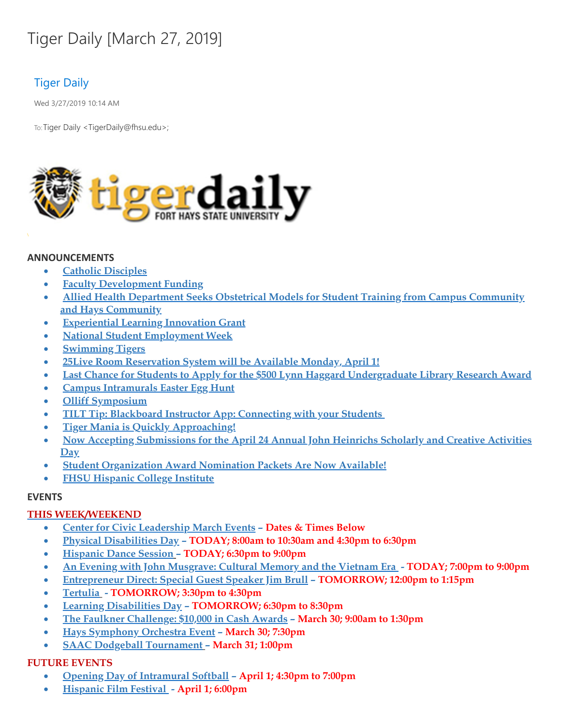# Tiger Daily [March 27, 2019]

# Tiger Daily

Wed 3/27/2019 10:14 AM

To: Tiger Daily < TigerDaily@fhsu.edu>;



#### **ANNOUNCEMENTS**

- · **Catholic [Disciples](#page-2-0)**
- · **Faculty Development Funding**
- · **Allied Health Department Seeks Obstetrical Models for Student Training from Campus Community and Hays Community**
- · **Experiential Learning Innovation Grant**
- · **National Student Employment Week**
- · **Swimming Tigers**
- · **25Live Room Reservation System will be Available Monday, April 1!**
- · **Last Chance for Students to Apply for the \$500 Lynn Haggard Undergraduate Library Research Award**
- · **Campus Intramurals Easter Egg Hunt**
- · **Olliff Symposium**
- · **TILT Tip: Blackboard Instructor App: [Connecting](#page-5-0) with your Students**
- · **Tiger Mania is Quickly Approaching!**
- · **Now Accepting Submissions for the April 24 Annual John Heinrichs Scholarly and Creative Activities Day**
- · **Student Organization Award Nomination Packets Are Now Available!**
- · **FHSU Hispanic College Institute**

### **EVENTS**

### **THIS WEEK/WEEKEND**

- · **Center for Civic Leadership March Events – Dates & Times Below**
- · **Physical Disabilities Day – TODAY; 8:00am to 10:30am and 4:30pm to 6:30pm**
- · **Hispanic Dance Session – TODAY; 6:30pm to 9:00pm**
- · **An Evening with John Musgrave: Cultural Memory and the Vietnam Era - TODAY; 7:00pm to 9:00pm**
- · **Entrepreneur Direct: Special Guest Speaker Jim Brull – TOMORROW; 12:00pm to 1:15pm**
- · **Tertulia - TOMORROW; 3:30pm to 4:30pm**
- · **Learning Disabilities Day – TOMORROW; 6:30pm to 8:30pm**
- · **The Faulkner Challenge: \$10,000 in Cash Awards – March 30; 9:00am to 1:30pm**
- · **Hays [Symphony](#page-8-0) Orchestra Event – March 30; 7:30pm**
- · **SAAC Dodgeball Tournament – March 31; 1:00pm**

### **FUTURE EVENTS**

- · **Opening Day of Intramural Softball – April 1; 4:30pm to 7:00pm**
- · **Hispanic Film Festival - April 1; 6:00pm**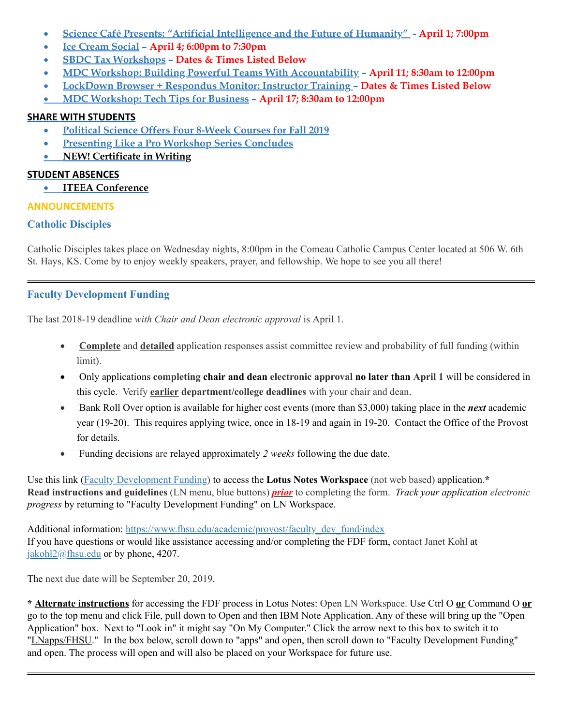- · **Science Café Presents: "Artificial Intelligence and the Future of Humanity" - April 1; 7:00pm**
- · **Ice Cream Social – April 4; 6:00pm to 7:30pm**
- · **SBDC Tax Workshops – Dates & Times Listed Below**
- · **MDC Workshop: Building Powerful Teams With Accountability – April 11; 8:30am to 12:00pm**
- · **LockDown Browser + Respondus Monitor: Instructor Training – Dates & Times Listed Below**
- · **MDC Workshop: Tech Tips for Business – April 17; 8:30am to 12:00pm**

# **SHARE WITH STUDENTS**

- · **Political Science Offers Four 8-Week Courses for Fall 2019**
- · **Presenting Like a Pro Workshop Series Concludes**
- · **NEW! Certificate in Writing**

# **STUDENT ABSENCES**

· **ITEEA Conference**

# **ANNOUNCEMENTS**

# **Catholic Disciples**

Catholic Disciples takes place on Wednesday nights, 8:00pm in the Comeau Catholic Campus Center located at 506 W. 6th St. Hays, KS. Come by to enjoy weekly speakers, prayer, and fellowship. We hope to see you all there!

# **Faculty Development Funding**

The last 2018-19 deadline *with Chair and Dean electronic approval* is April 1.

- <span id="page-2-0"></span>· **Complete** and **detailed** application responses assist committee review and probability of full funding (within limit).
- · Only applications **completing chair and dean electronic approval no later than April 1** will be considered in this cycle. Verify **earlier department/college deadlines** with your chair and dean.
- · Bank Roll Over option is available for higher cost events (more than \$3,000) taking place in the *next* academic year (19-20). This requires applying twice, once in 18-19 and again in 19-20. Contact the Office of the Provost for details.
- · Funding decisions are relayed approximately *2 weeks* following the due date.

Use this link (Faculty [Development](notes://LNapps/86257474006926D5) Funding) to access the **Lotus Notes Workspace** (not web based) application. **\* Read instructions and guidelines** (LN menu, blue buttons) *prior* to completing the form. *Track your application electronic progress* by returning to "Faculty Development Funding" on LN Workspace.

Additional information: [https://www.fhsu.edu/academic/provost/faculty\\_dev\\_fund/index](https://www.fhsu.edu/academic/provost/faculty_dev_fund/index) If you have questions or would like assistance accessing and/or completing the FDF form, contact Janet Kohl at [jakohl2@fhsu.edu](mailto:jakohl2@fhsu.edu) or by phone, 4207.

The next due date will be September 20, 2019.

**\* Alternate instructions** for accessing the FDF process in Lotus Notes: Open LN Workspace. Use Ctrl O **or** Command O **or** go to the top menu and click File, pull down to Open and then IBM Note Application. Any of these will bring up the "Open Application" box. Next to "Look in" it might say "On My Computer. " Click the arrow next to this box to switch it to "LNapps/FHSU." In the box below, scroll down to "apps" and open, then scroll down to "Faculty Development Funding" and open. The process will open and will also be placed on your Workspace for future use.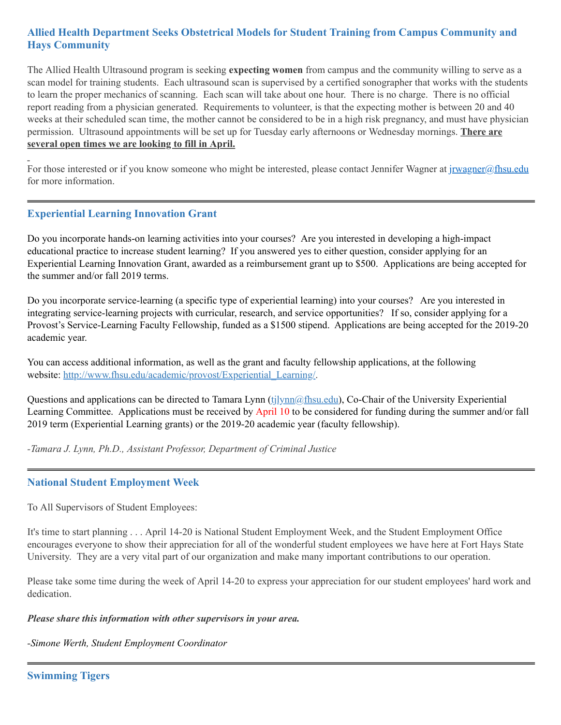# **Allied Health Department Seeks Obstetrical Models for Student Training from Campus Community and Hays Community**

The Allied Health Ultrasound program is seeking **expecting women** from campus and the community willing to serve as a scan model for training students. Each ultrasound scan is supervised by a certified sonographer that works with the students to learn the proper mechanics of scanning. Each scan will take about one hour. There is no charge. There is no official report reading from a physician generated. Requirements to volunteer, is that the expecting mother is between 20 and 40 weeks at their scheduled scan time, the mother cannot be considered to be in a high risk pregnancy, and must have physician permission. Ultrasound appointments will be set up for Tuesday early afternoons or Wednesday mornings. **There are several open times we are looking to fill in April.**

For those interested or if you know someone who might be interested, please contact Jennifer Wagner at [jrwagner@fhsu.edu](mailto:jrwagner@fhsu.edu) for more information.

# **Experiential Learning Innovation Grant**

Do you incorporate hands-on learning activities into your courses? Are you interested in developing a high-impact educational practice to increase student learning? If you answered yes to either question, consider applying for an Experiential Learning Innovation Grant, awarded as a reimbursement grant up to \$500. Applications are being accepted for the summer and/or fall 2019 terms.

Do you incorporate service-learning (a specific type of experiential learning) into your courses? Are you interested in integrating service-learning projects with curricular, research, and service opportunities? If so, consider applying for a Provost's Service-Learning Faculty Fellowship, funded as a \$1500 stipend. Applications are being accepted for the 2019-20 academic year.

You can access additional information, as well as the grant and faculty fellowship applications, at the following website: [http://www.fhsu.edu/academic/provost/Experiential\\_Learning/.](http://www.fhsu.edu/academic/provost/Experiential_Learning/)

Questions and applications can be directed to Tamara Lynn [\(tjlynn@fhsu.edu\)](mailto:tjlynn@fhsu.edu), Co-Chair of the University Experiential Learning Committee. Applications must be received by April 10 to be considered for funding during the summer and/or fall 2019 term (Experiential Learning grants) or the 2019-20 academic year (faculty fellowship).

*-Tamara J. Lynn, Ph.D., Assistant Professor, Department of Criminal Justice*

### **National Student Employment Week**

To All Supervisors of Student Employees:

It's time to start planning . . . April 14-20 is National Student Employment Week, and the Student Employment Office encourages everyone to show their appreciation for all of the wonderful student employees we have here at Fort Hays State University. They are a very vital part of our organization and make many important contributions to our operation.

Please take some time during the week of April 14-20 to express your appreciation for our student employees' hard work and dedication.

#### *Please share this information with other supervisors in your area.*

*-Simone Werth, Student Employment Coordinator*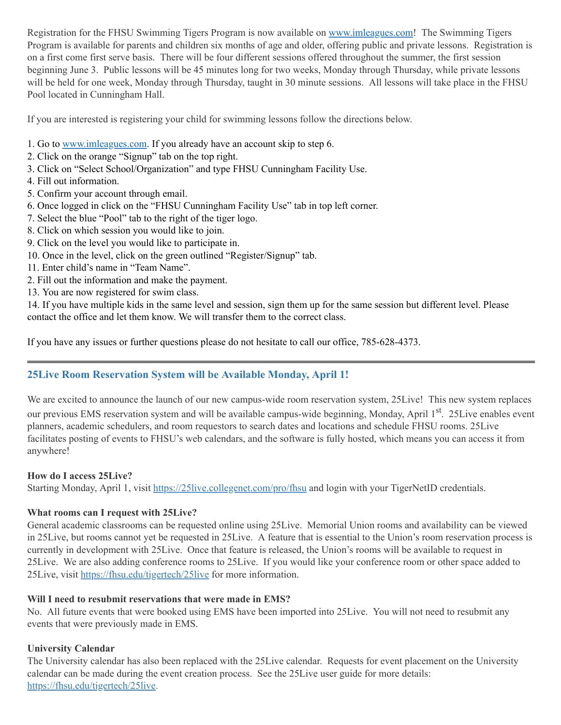Registration for the FHSU Swimming Tigers Program is now available on [www.imleagues.com!](http://www.imleagues.com/) The Swimming Tigers Program is available for parents and children six months of age and older, offering public and private lessons. Registration is on a first come first serve basis. There will be four different sessions offered throughout the summer, the first session beginning June 3. Public lessons will be 45 minutes long for two weeks, Monday through Thursday, while private lessons will be held for one week, Monday through Thursday, taught in 30 minute sessions. All lessons will take place in the FHSU Pool located in Cunningham Hall.

If you are interested is registering your child for swimming lessons follow the directions below.

- 1. Go to [www.imleagues.com](http://www.imleagues.com/). If you already have an account skip to step 6.
- 2. Click on the orange "Signup" tab on the top right.
- 3. Click on "Select School/Organization" and type FHSU Cunningham Facility Use.
- 4. Fill out information.
- 5. Confirm your account through email.
- 6. Once logged in click on the "FHSU Cunningham Facility Use" tab in top left corner.
- 7. Select the blue "Pool" tab to the right of the tiger logo.
- 8. Click on which session you would like to join.
- 9. Click on the level you would like to participate in.
- 10. Once in the level, click on the green outlined "Register/Signup" tab.
- 11. Enter child's name in "Team Name" .
- 2. Fill out the information and make the payment.
- 13. You are now registered for swim class.

14. If you have multiple kids in the same level and session, sign them up for the same session but different level. Please contact the office and let them know. We will transfer them to the correct class.

If you have any issues or further questions please do not hesitate to call our office, 785-628-4373.

### **25Live Room Reservation System will be Available Monday, April 1!**

We are excited to announce the launch of our new campus-wide room reservation system, 25Live! This new system replaces our previous EMS reservation system and will be available campus-wide beginning, Monday, April 1<sup>st</sup>. 25Live enables event planners, academic schedulers, and room requestors to search dates and locations and schedule FHSU rooms. 25Live facilitates posting of events to FHSU's web calendars, and the software is fully hosted, which means you can access it from anywhere!

#### **How do I access 25Live?**

Starting Monday, April 1, visit <https://25live.collegenet.com/pro/fhsu> and login with your TigerNetID credentials.

### **What rooms can I request with 25Live?**

General academic classrooms can be requested online using 25Live. Memorial Union rooms and availability can be viewed in 25Live, but rooms cannot yet be requested in 25Live. A feature that is essential to the Union's room reservation process is currently in development with 25Live. Once that feature is released, the Union's rooms will be available to request in 25Live. We are also adding conference rooms to 25Live. If you would like your conference room or other space added to 25Live, visit <https://fhsu.edu/tigertech/25live> for more information.

### **Will I need to resubmit reservations that were made in EMS?**

No. All future events that were booked using EMS have been imported into 25Live. You will not need to resubmit any events that were previously made in EMS.

#### **University Calendar**

The University calendar has also been replaced with the 25Live calendar. Requests for event placement on the University calendar can be made during the event creation process. See the 25Live user guide for more details: [https://fhsu.edu/tigertech/25live.](https://fhsu.edu/tigertech/25live)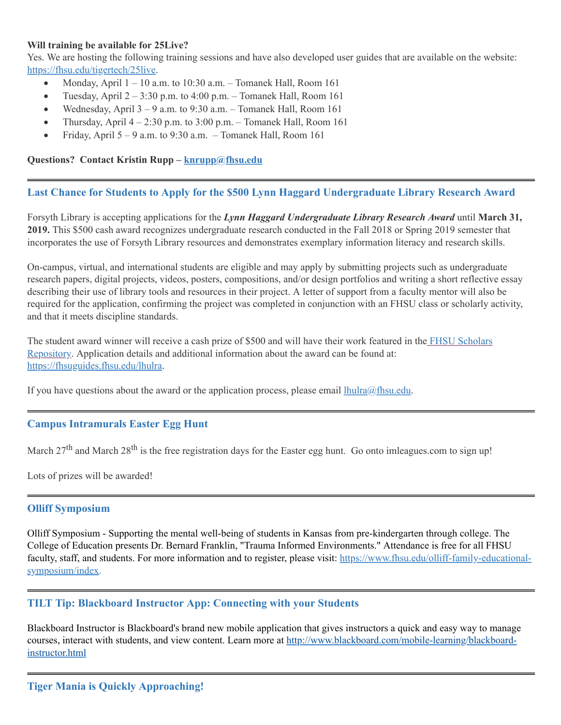#### **Will training be available for 25Live?**

Yes. We are hosting the following training sessions and have also developed user guides that are available on the website: [https://fhsu.edu/tigertech/25live.](https://fhsu.edu/tigertech/25live)

- Monday, April  $1 10$  a.m. to  $10:30$  a.m. Tomanek Hall, Room  $161$
- Tuesday, April  $2 3:30$  p.m. to  $4:00$  p.m. Tomanek Hall, Room 161
- Wednesday, April  $3 9$  a.m. to  $9:30$  a.m. Tomanek Hall, Room 161
- Thursday, April  $4 2:30$  p.m. to  $3:00$  p.m. Tomanek Hall, Room 161
- <span id="page-5-0"></span>• Friday, April  $5 - 9$  a.m. to  $9:30$  a.m. – Tomanek Hall, Room 161

#### **Questions? Contact Kristin Rupp – [knrupp@fhsu.edu](mailto:knrupp@fhsu.edu)**

# **Last Chance for Students to Apply for the \$500 Lynn Haggard Undergraduate Library Research Award**

Forsyth Library is accepting applications for the *Lynn Haggard Undergraduate Library Research Award* until **March 31, 2019.** This \$500 cash award recognizes undergraduate research conducted in the Fall 2018 or Spring 2019 semester that incorporates the use of Forsyth Library resources and demonstrates exemplary information literacy and research skills.

On-campus, virtual, and international students are eligible and may apply by submitting projects such as undergraduate research papers, digital projects, videos, posters, compositions, and/or design portfolios and writing a short reflective essay describing their use of library tools and resources in their project. A letter of support from a faculty mentor will also be required for the application, confirming the project was completed in conjunction with an FHSU class or scholarly activity, and that it meets discipline standards.

The student award winner will receive a cash prize of \$500 and will have their work featured in the FHSU Scholars Repository. [Application](https://scholars.fhsu.edu/) details and additional information about the award can be found at: [https://fhsuguides.fhsu.edu/lhulra.](https://fhsuguides.fhsu.edu/lhulra)

If you have questions about the award or the application process, please email  $Ihulra@fhsu.edu$ .

### **Campus Intramurals Easter Egg Hunt**

March 27<sup>th</sup> and March 28<sup>th</sup> is the free registration days for the Easter egg hunt. Go onto imleagues.com to sign up!

Lots of prizes will be awarded!

### **Olliff Symposium**

Olliff Symposium - Supporting the mental well-being of students in Kansas from pre-kindergarten through college. The College of Education presents Dr. Bernard Franklin, "Trauma Informed Environments. " Attendance is free for all FHSU faculty, staff, and students. For more information and to register, please visit: [https://www.fhsu.edu/olliff-family-educational](https://www.fhsu.edu/olliff-family-educational-symposium/index)symposium/index.

# **TILT Tip: Blackboard Instructor App: Connecting with your Students**

Blackboard Instructor is Blackboard's brand new mobile application that gives instructors a quick and easy way to manage courses, interact with students, and view content. Learn more at [http://www.blackboard.com/mobile-learning/blackboard](http://www.blackboard.com/mobile-learning/blackboard-instructor.html)instructor.html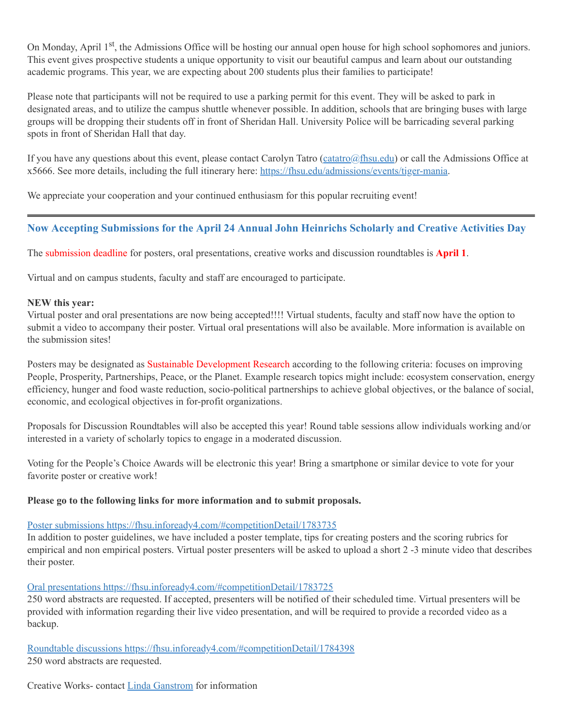On Monday, April 1<sup>st</sup>, the Admissions Office will be hosting our annual open house for high school sophomores and juniors. This event gives prospective students a unique opportunity to visit our beautiful campus and learn about our outstanding academic programs. This year, we are expecting about 200 students plus their families to participate!

Please note that participants will not be required to use a parking permit for this event. They will be asked to park in designated areas, and to utilize the campus shuttle whenever possible. In addition, schools that are bringing buses with large groups will be dropping their students off in front of Sheridan Hall. University Police will be barricading several parking spots in front of Sheridan Hall that day.

If you have any questions about this event, please contact Carolyn Tatro  $(c \cdot \text{atatro}(@f \cdot \text{hsu.edu})$  or call the Admissions Office at x5666. See more details, including the full itinerary here: [https://fhsu.edu/admissions/events/tiger-mania.](https://fhsu.edu/admissions/events/tiger-mania)

We appreciate your cooperation and your continued enthusiasm for this popular recruiting event!

# **Now Accepting Submissions for the April 24 Annual John Heinrichs Scholarly and Creative Activities Day**

The submission deadline for posters, oral presentations, creative works and discussion roundtables is **April 1**.

Virtual and on campus students, faculty and staff are encouraged to participate.

#### **NEW this year:**

Virtual poster and oral presentations are now being accepted!!!! Virtual students, faculty and staff now have the option to submit a video to accompany their poster. Virtual oral presentations will also be available. More information is available on the submission sites!

Posters may be designated as Sustainable Development Research according to the following criteria: focuses on improving People, Prosperity, Partnerships, Peace, or the Planet. Example research topics might include: ecosystem conservation, energy efficiency, hunger and food waste reduction, socio-political partnerships to achieve global objectives, or the balance of social, economic, and ecological objectives in for-profit organizations.

Proposals for Discussion Roundtables will also be accepted this year! Round table sessions allow individuals working and/or interested in a variety of scholarly topics to engage in a moderated discussion.

Voting for the People's Choice Awards will be electronic this year! Bring a smartphone or similar device to vote for your favorite poster or creative work!

#### **Please go to the following links for more information and to submit proposals.**

#### Poster submissions <https://fhsu.infoready4.com/#competitionDetail/1783735>

In addition to poster guidelines, we have included a poster template, tips for creating posters and the scoring rubrics for empirical and non empirical posters. Virtual poster presenters will be asked to upload a short 2 -3 minute video that describes their poster.

#### Oral presentations <https://fhsu.infoready4.com/#competitionDetail/1783725>

250 word abstracts are requested. If accepted, presenters will be notified of their scheduled time. Virtual presenters will be provided with information regarding their live video presentation, and will be required to provide a recorded video as a backup.

Roundtable discussions <https://fhsu.infoready4.com/#competitionDetail/1784398> 250 word abstracts are requested.

Creative Works- contact Linda [Ganstrom](mailto:lmganstrom@fhsu.edu) for information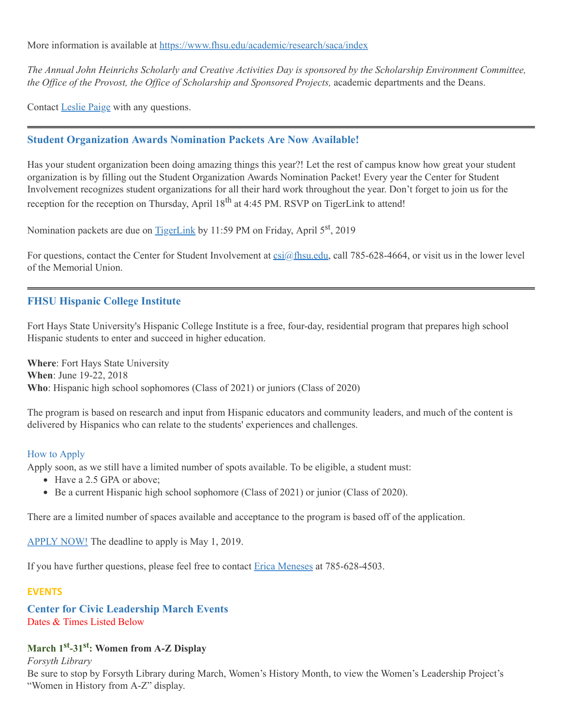More information is available at <https://www.fhsu.edu/academic/research/saca/index>

The Annual John Heinrichs Scholarly and Creative Activities Day is sponsored by the Scholarship Environment Committee, *the Office of the Provost, the Office of Scholarship and Sponsored Projects,* academic departments and the Deans.

Contact [Leslie](mailto:lzpaige@fhsu.edu) Paige with any questions.

# **Student Organization Awards Nomination Packets Are Now Available!**

Has your student organization been doing amazing things this year?! Let the rest of campus know how great your student organization is by filling out the Student Organization Awards Nomination Packet! Every year the Center for Student Involvement recognizes student organizations for all their hard work throughout the year. Don't forget to join us for the reception for the reception on Thursday, April 18<sup>th</sup> at 4:45 PM. RSVP on TigerLink to attend!

Nomination packets are due on **[TigerLink](https://tigerlink.fhsu.edu/)** by 11:59 PM on Friday, April 5<sup>st</sup>, 2019

For questions, contact the Center for Student Involvement at  $csi(\omega f$  filsu.edu, call 785-628-4664, or visit us in the lower level of the Memorial Union.

# **FHSU Hispanic College Institute**

Fort Hays State University's Hispanic College Institute is a free, four-day, residential program that prepares high school Hispanic students to enter and succeed in higher education.

**Where**: Fort Hays State University **When**: June 19-22, 2018 **Who**: Hispanic high school sophomores (Class of 2021) or juniors (Class of 2020)

The program is based on research and input from Hispanic educators and community leaders, and much of the content is delivered by Hispanics who can relate to the students' experiences and challenges.

#### How to Apply

Apply soon, as we still have a limited number of spots available. To be eligible, a student must:

- Have a 2.5 GPA or above;
- Be a current Hispanic high school sophomore (Class of 2021) or junior (Class of 2020).

There are a limited number of spaces available and acceptance to the program is based off of the application.

[APPLY](https://webapps.fhsu.edu/hciapplication/) NOW! The deadline to apply is May 1, 2019.

If you have further questions, please feel free to contact Erica [Meneses](mailto:mailto:h_perez@fhsu.edu?subject=mailto:h_perez@fhsu.edu) at 785-628-4503.

### **EVENTS**

**Center for Civic Leadership March Events** Dates & Times Listed Below

# **March 1 st -31 st : Women from A-Z Display**

*Forsyth Library*

Be sure to stop by Forsyth Library during March, Women's History Month, to view the Women's Leadership Project's "Women in History from A-Z" display.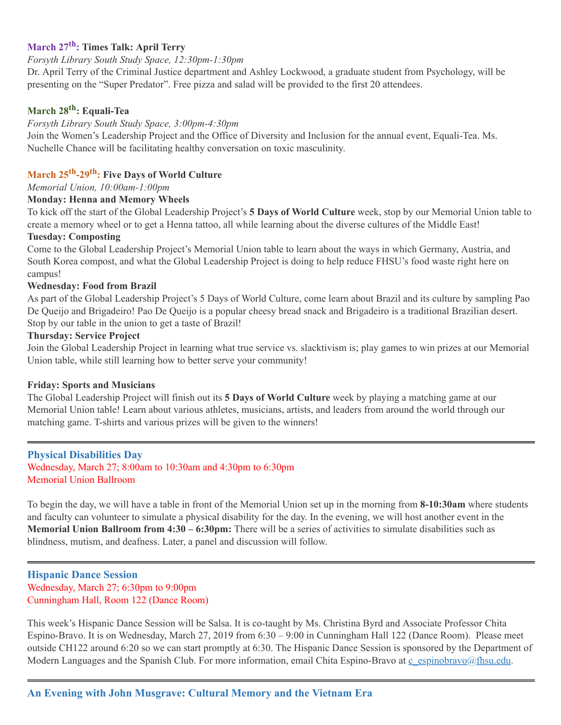# **March 27 th : Times Talk: April Terry**

#### *Forsyth Library South Study Space, 12:30pm-1:30pm*

Dr. April Terry of the Criminal Justice department and Ashley Lockwood, a graduate student from Psychology, will be presenting on the "Super Predator" . Free pizza and salad will be provided to the first 20 attendees.

# **March 28 th : Equali-Tea**

### *Forsyth Library South Study Space, 3:00pm-4:30pm*

Join the Women's Leadership Project and the Office of Diversity and Inclusion for the annual event, Equali-Tea. Ms. Nuchelle Chance will be facilitating healthy conversation on toxic masculinity.

# **March 25 th -29 th : Five Days of World Culture**

### *Memorial Union, 10:00am-1:00pm*

#### **Monday: Henna and Memory Wheels**

To kick off the start of the Global Leadership Project's **5 Days of World Culture** week, stop by our Memorial Union table to create a memory wheel or to get a Henna tattoo, all while learning about the diverse cultures of the Middle East!

#### **Tuesday: Composting**

Come to the Global Leadership Project's Memorial Union table to learn about the ways in which Germany, Austria, and South Korea compost, and what the Global Leadership Project is doing to help reduce FHSU's food waste right here on campus!

#### **Wednesday: Food from Brazil**

As part of the Global Leadership Project's 5 Days of World Culture, come learn about Brazil and its culture by sampling Pao De Queijo and Brigadeiro! Pao De Queijo is a popular cheesy bread snack and Brigadeiro is a traditional Brazilian desert. Stop by our table in the union to get a taste of Brazil!

#### **Thursday: Service Project**

Join the Global Leadership Project in learning what true service vs. slacktivism is; play games to win prizes at our Memorial Union table, while still learning how to better serve your community!

#### **Friday: Sports and Musicians**

The Global Leadership Project will finish out its **5 Days of World Culture** week by playing a matching game at our Memorial Union table! Learn about various athletes, musicians, artists, and leaders from around the world through our matching game. T-shirts and various prizes will be given to the winners!

#### **Physical Disabilities Day**

Wednesday, March 27; 8:00am to 10:30am and 4:30pm to 6:30pm Memorial Union Ballroom

To begin the day, we will have a table in front of the Memorial Union set up in the morning from **8-10:30am** where students and faculty can volunteer to simulate a physical disability for the day. In the evening, we will host another event in the **Memorial Union Ballroom from 4:30 – 6:30pm:** There will be a series of activities to simulate disabilities such as blindness, mutism, and deafness. Later, a panel and discussion will follow.

#### **Hispanic Dance Session** Wednesday, March 27; 6:30pm to 9:00pm Cunningham Hall, Room 122 (Dance Room)

<span id="page-8-0"></span>This week's Hispanic Dance Session will be Salsa. It is co-taught by Ms. Christina Byrd and Associate Professor Chita Espino-Bravo. It is on Wednesday, March 27, 2019 from 6:30 – 9:00 in Cunningham Hall 122 (Dance Room). Please meet outside CH122 around 6:20 so we can start promptly at 6:30. The Hispanic Dance Session is sponsored by the Department of Modern Languages and the Spanish Club. For more information, email Chita Espino-Bravo at [c\\_espinobravo@fhsu.edu.](mailto:c_espinobravo@fhsu.edu)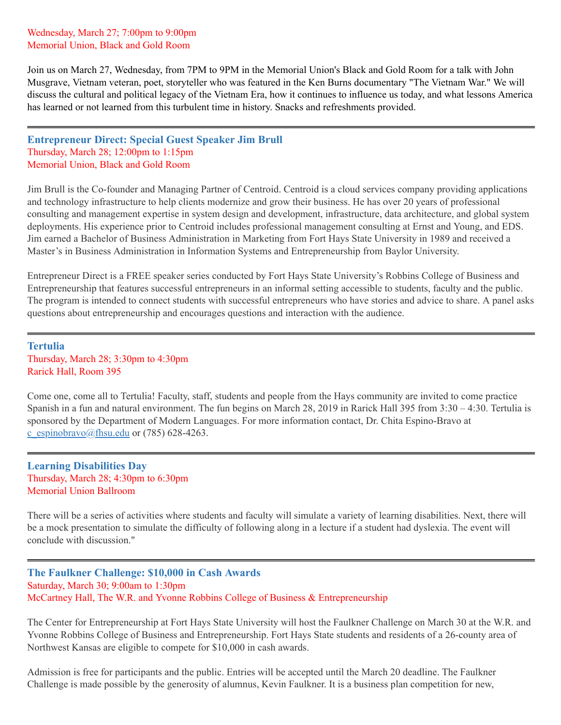Wednesday, March 27; 7:00pm to 9:00pm Memorial Union, Black and Gold Room

Join us on March 27, Wednesday, from 7PM to 9PM in the Memorial Union's Black and Gold Room for a talk with John Musgrave, Vietnam veteran, poet, storyteller who was featured in the Ken Burns documentary "The Vietnam War. " We will discuss the cultural and political legacy of the Vietnam Era, how it continues to influence us today, and what lessons America has learned or not learned from this turbulent time in history. Snacks and refreshments provided.

**Entrepreneur Direct: Special Guest Speaker Jim Brull** Thursday, March 28; 12:00pm to 1:15pm Memorial Union, Black and Gold Room

Jim Brull is the Co-founder and Managing Partner of Centroid. Centroid is a cloud services company providing applications and technology infrastructure to help clients modernize and grow their business. He has over 20 years of professional consulting and management expertise in system design and development, infrastructure, data architecture, and global system deployments. His experience prior to Centroid includes professional management consulting at Ernst and Young, and EDS. Jim earned a Bachelor of Business Administration in Marketing from Fort Hays State University in 1989 and received a Master's in Business Administration in Information Systems and Entrepreneurship from Baylor University.

Entrepreneur Direct is a FREE speaker series conducted by Fort Hays State University's Robbins College of Business and Entrepreneurship that features successful entrepreneurs in an informal setting accessible to students, faculty and the public. The program is intended to connect students with successful entrepreneurs who have stories and advice to share. A panel asks questions about entrepreneurship and encourages questions and interaction with the audience.

**Tertulia** Thursday, March 28; 3:30pm to 4:30pm Rarick Hall, Room 395

Come one, come all to Tertulia! Faculty, staff, students and people from the Hays community are invited to come practice Spanish in a fun and natural environment. The fun begins on March 28, 2019 in Rarick Hall 395 from 3:30 – 4:30. Tertulia is sponsored by the Department of Modern Languages. For more information contact, Dr. Chita Espino-Bravo at [c\\_espinobravo@fhsu.edu](mailto:c_espinobravo@fhsu.edu) or (785) 628-4263.

**Learning Disabilities Day** Thursday, March 28; 4:30pm to 6:30pm Memorial Union Ballroom

There will be a series of activities where students and faculty will simulate a variety of learning disabilities. Next, there will be a mock presentation to simulate the difficulty of following along in a lecture if a student had dyslexia. The event will conclude with discussion. "

**The Faulkner Challenge: \$10,000 in Cash Awards** Saturday, March 30; 9:00am to 1:30pm McCartney Hall, The W.R. and Yvonne Robbins College of Business & Entrepreneurship

The Center for Entrepreneurship at Fort Hays State University will host the Faulkner Challenge on March 30 at the W.R. and Yvonne Robbins College of Business and Entrepreneurship. Fort Hays State students and residents of a 26-county area of Northwest Kansas are eligible to compete for \$10,000 in cash awards.

Admission is free for participants and the public. Entries will be accepted until the March 20 deadline. The Faulkner Challenge is made possible by the generosity of alumnus, Kevin Faulkner. It is a business plan competition for new,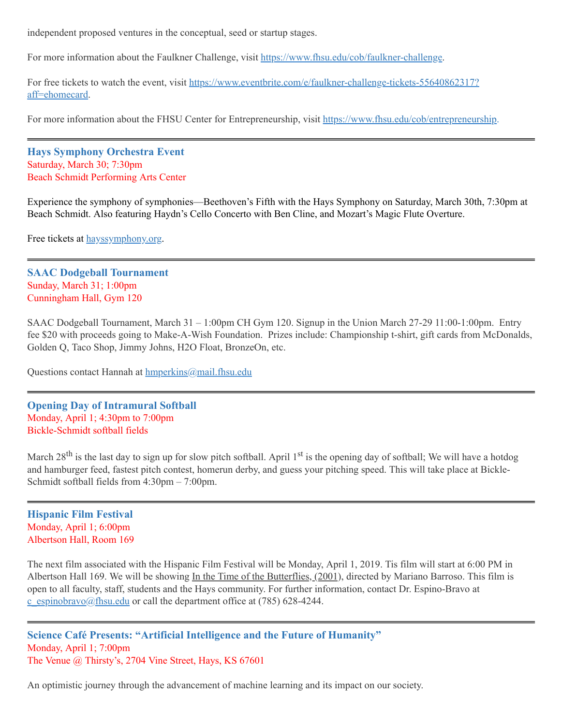independent proposed ventures in the conceptual, seed or startup stages.

For more information about the Faulkner Challenge, visit [https://www.fhsu.edu/cob/faulkner-challenge.](https://www.fhsu.edu/cob/faulkner-challenge)

For free tickets to watch the event, visit [https://www.eventbrite.com/e/faulkner-challenge-tickets-55640862317?](https://www.eventbrite.com/e/faulkner-challenge-tickets-55640862317?aff=ehomecard) aff=ehomecard.

For more information about the FHSU Center for Entrepreneurship, visit <https://www.fhsu.edu/cob/entrepreneurship>.

**Hays Symphony Orchestra Event** Saturday, March 30; 7:30pm Beach Schmidt Performing Arts Center

Experience the symphony of symphonies—Beethoven's Fifth with the Hays Symphony on Saturday, March 30th, 7:30pm at Beach Schmidt. Also featuring Haydn's Cello Concerto with Ben Cline, and Mozart's Magic Flute Overture.

Free tickets at [hayssymphony.org.](http://hayssymphony.org/)

**SAAC Dodgeball Tournament** Sunday, March 31; 1:00pm Cunningham Hall, Gym 120

SAAC Dodgeball Tournament, March 31 – 1:00pm CH Gym 120. Signup in the Union March 27-29 11:00-1:00pm. Entry fee \$20 with proceeds going to Make-A-Wish Foundation. Prizes include: Championship t-shirt, gift cards from McDonalds, Golden Q, Taco Shop, Jimmy Johns, H2O Float, BronzeOn, etc.

Questions contact Hannah at **[hmperkins@mail.fhsu.edu](mailto:hmperkins@mail.fhsu.edu)** 

**Opening Day of Intramural Softball** Monday, April 1; 4:30pm to 7:00pm Bickle-Schmidt softball fields

March 28<sup>th</sup> is the last day to sign up for slow pitch softball. April 1<sup>st</sup> is the opening day of softball; We will have a hotdog and hamburger feed, fastest pitch contest, homerun derby, and guess your pitching speed. This will take place at Bickle-Schmidt softball fields from 4:30pm – 7:00pm.

#### **Hispanic Film Festival** Monday, April 1; 6:00pm Albertson Hall, Room 169

The next film associated with the Hispanic Film Festival will be Monday, April 1, 2019. Tis film will start at 6:00 PM in Albertson Hall 169. We will be showing In the Time of the Butterflies, (2001), directed by Mariano Barroso. This film is open to all faculty, staff, students and the Hays community. For further information, contact Dr. Espino-Bravo at [c\\_espinobravo@fhsu.edu](mailto:c_espinobravo@fhsu.edu) or call the department office at (785) 628-4244.

**Science Café Presents: "Artificial Intelligence and the Future of Humanity"** Monday, April 1; 7:00pm The Venue @ Thirsty's, 2704 Vine Street, Hays, KS 67601

An optimistic journey through the advancement of machine learning and its impact on our society.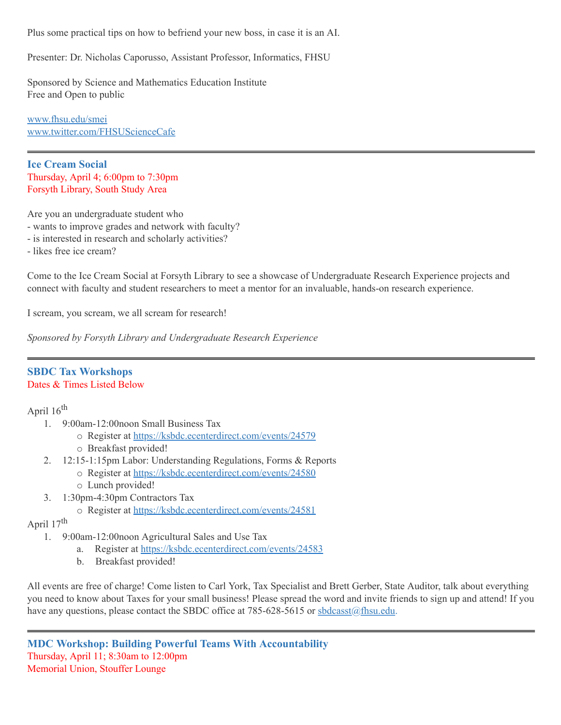Plus some practical tips on how to befriend your new boss, in case it is an AI.

Presenter: Dr. Nicholas Caporusso, Assistant Professor, Informatics, FHSU

Sponsored by Science and Mathematics Education Institute Free and Open to public

[www.fhsu.edu/smei](http://www.fhsu.edu/smei) [www.twitter.com/FHSUScienceCafe](http://www.twitter.com/FHSUScienceCafe)

**Ice Cream Social** Thursday, April 4; 6:00pm to 7:30pm Forsyth Library, South Study Area

Are you an undergraduate student who

- wants to improve grades and network with faculty?
- is interested in research and scholarly activities?
- likes free ice cream?

Come to the Ice Cream Social at Forsyth Library to see a showcase of Undergraduate Research Experience projects and connect with faculty and student researchers to meet a mentor for an invaluable, hands-on research experience.

I scream, you scream, we all scream for research!

*Sponsored by Forsyth Library and Undergraduate Research Experience*

#### **SBDC Tax Workshops** Dates & Times Listed Below

April 16<sup>th</sup>

- 1. 9:00am-12:00noon Small Business Tax
	- o Register at [https://ksbdc.ecenterdirect.com/events/24579](https://ksbdc.ecenterdirect.com/events/24579?fbclid=IwAR0xcA5JrJh0a2tvw3Cy7MPVOckeoszpeKN08yfGU7Duw03fzqMVdhptDVM)
	- o Breakfast provided!
- 2. 12:15-1:15pm Labor: Understanding Regulations, Forms & Reports
	- o Register at [https://ksbdc.ecenterdirect.com/events/24580](https://ksbdc.ecenterdirect.com/events/24580?fbclid=IwAR0ikHyomNaXV1Y9R39c2Q_7aHRsD0-0BXXKVqzqML3hj4UTuq6PJdJ_Ed8)
	- o Lunch provided!
- 3. 1:30pm-4:30pm Contractors Tax
	- o Register at [https://ksbdc.ecenterdirect.com/events/24581](https://ksbdc.ecenterdirect.com/events/24581?fbclid=IwAR2dC2BDuz1zFdKpcmWWvVQC9NUKmUun0dAOqpeIDQKNYZcSDxVC4sdw_IA)

# April 17<sup>th</sup>

- 1. 9:00am-12:00noon Agricultural Sales and Use Tax
	- a. Register at [https://ksbdc.ecenterdirect.com/events/24583](https://ksbdc.ecenterdirect.com/events/24583?fbclid=IwAR3uXwdNR_4jbKdFazmSCvAadQI04sv1z99iq79npxIFLyUsP2D2Iappu2A)
	- b. Breakfast provided!

All events are free of charge! Come listen to Carl York, Tax Specialist and Brett Gerber, State Auditor, talk about everything you need to know about Taxes for your small business! Please spread the word and invite friends to sign up and attend! If you have any questions, please contact the SBDC office at 785-628-5615 or [sbdcasst@fhsu.edu.](mailto:sbdcasst@fhsu.edu)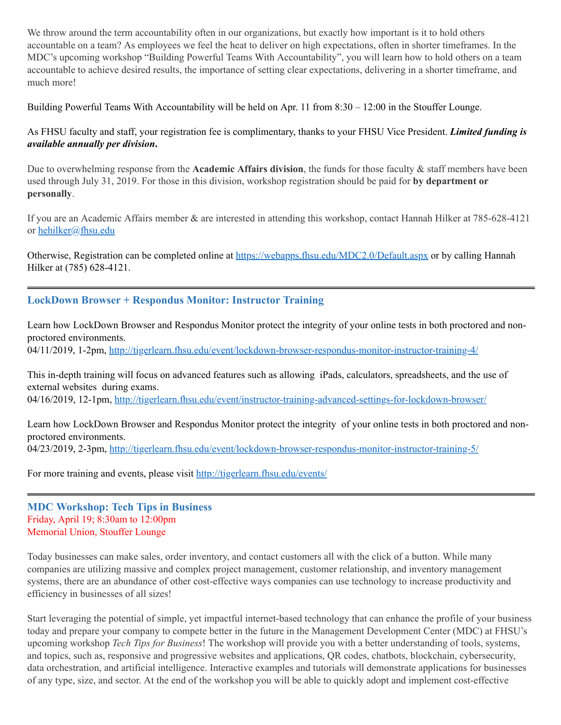We throw around the term accountability often in our organizations, but exactly how important is it to hold others accountable on a team? As employees we feel the heat to deliver on high expectations, often in shorter timeframes. In the MDC's upcoming workshop "Building Powerful Teams With Accountability" , you will learn how to hold others on a team accountable to achieve desired results, the importance of setting clear expectations, delivering in a shorter timeframe, and much more!

Building Powerful Teams With Accountability will be held on Apr. 11 from 8:30 – 12:00 in the Stouffer Lounge.

As FHSU faculty and staff, your registration fee is complimentary, thanks to your FHSU Vice President. *Limited funding is available annually per division***.**

Due to overwhelming response from the **Academic Affairs division**, the funds for those faculty & staff members have been used through July 31, 2019. For those in this division, workshop registration should be paid for **by department or personally**.

If you are an Academic Affairs member & are interested in attending this workshop, contact Hannah Hilker at 785-628-4121 or [hehilker@fhsu.edu](mailto:hehilker@fhsu.edu)

Otherwise, Registration can be completed online at <https://webapps.fhsu.edu/MDC2.0/Default.aspx> or by calling Hannah Hilker at (785) 628-4121.

### **LockDown Browser + Respondus Monitor: Instructor Training**

Learn how LockDown Browser and Respondus Monitor protect the integrity of your online tests in both proctored and nonproctored environments. 04/11/2019, 1-2pm, <http://tigerlearn.fhsu.edu/event/lockdown-browser-respondus-monitor-instructor-training-4/>

This in-depth training will focus on advanced features such as allowing iPads, calculators, spreadsheets, and the use of external websites during exams. 04/16/2019, 12-1pm, <http://tigerlearn.fhsu.edu/event/instructor-training-advanced-settings-for-lockdown-browser/>

Learn how LockDown Browser and Respondus Monitor protect the integrity of your online tests in both proctored and nonproctored environments. 04/23/2019, 2-3pm, <http://tigerlearn.fhsu.edu/event/lockdown-browser-respondus-monitor-instructor-training-5/>

For more training and events, please visit <http://tigerlearn.fhsu.edu/events/>

**MDC Workshop: Tech Tips in Business** Friday, April 19; 8:30am to 12:00pm Memorial Union, Stouffer Lounge

Today businesses can make sales, order inventory, and contact customers all with the click of a button. While many companies are utilizing massive and complex project management, customer relationship, and inventory management systems, there are an abundance of other cost-effective ways companies can use technology to increase productivity and efficiency in businesses of all sizes!

Start leveraging the potential of simple, yet impactful internet-based technology that can enhance the profile of your business today and prepare your company to compete better in the future in the Management Development Center (MDC) at FHSU's upcoming workshop *Tech Tips for Business*! The workshop will provide you with a better understanding of tools, systems, and topics, such as, responsive and progressive websites and applications, QR codes, chatbots, blockchain, cybersecurity, data orchestration, and artificial intelligence. Interactive examples and tutorials will demonstrate applications for businesses of any type, size, and sector. At the end of the workshop you will be able to quickly adopt and implement cost-effective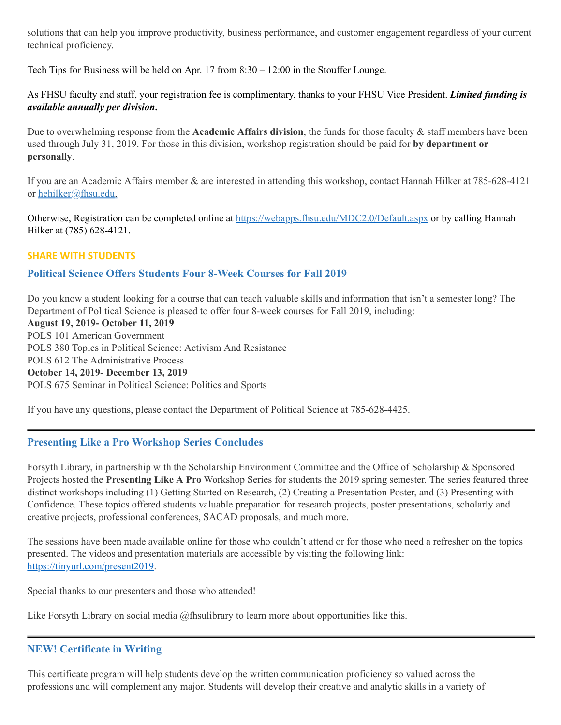solutions that can help you improve productivity, business performance, and customer engagement regardless of your current technical proficiency.

Tech Tips for Business will be held on Apr. 17 from 8:30 – 12:00 in the Stouffer Lounge.

As FHSU faculty and staff, your registration fee is complimentary, thanks to your FHSU Vice President. *Limited funding is available annually per division***.**

Due to overwhelming response from the **Academic Affairs division**, the funds for those faculty & staff members have been used through July 31, 2019. For those in this division, workshop registration should be paid for **by department or personally**.

If you are an Academic Affairs member & are interested in attending this workshop, contact Hannah Hilker at 785-628-4121 or [hehilker@fhsu.edu](mailto:hehilker@fhsu.edu).

Otherwise, Registration can be completed online at <https://webapps.fhsu.edu/MDC2.0/Default.aspx> or by calling Hannah Hilker at (785) 628-4121.

### **SHARE WITH STUDENTS**

# **Political Science Offers Students Four 8-Week Courses for Fall 2019**

Do you know a student looking for a course that can teach valuable skills and information that isn't a semester long? The Department of Political Science is pleased to offer four 8-week courses for Fall 2019, including:

**August 19, 2019- October 11, 2019** POLS 101 American Government POLS 380 Topics in Political Science: Activism And Resistance POLS 612 The Administrative Process **October 14, 2019- December 13, 2019** POLS 675 Seminar in Political Science: Politics and Sports

If you have any questions, please contact the Department of Political Science at 785-628-4425.

### **Presenting Like a Pro Workshop Series Concludes**

Forsyth Library, in partnership with the Scholarship Environment Committee and the Office of Scholarship & Sponsored Projects hosted the **Presenting Like A Pro** Workshop Series for students the 2019 spring semester. The series featured three distinct workshops including (1) Getting Started on Research, (2) Creating a Presentation Poster, and (3) Presenting with Confidence. These topics offered students valuable preparation for research projects, poster presentations, scholarly and creative projects, professional conferences, SACAD proposals, and much more.

The sessions have been made available online for those who couldn't attend or for those who need a refresher on the topics presented. The videos and presentation materials are accessible by visiting the following link: <https://tinyurl.com/present2019>.

Special thanks to our presenters and those who attended!

Like Forsyth Library on social media @fhsulibrary to learn more about opportunities like this.

# **NEW! Certificate in Writing**

This certificate program will help students develop the written communication proficiency so valued across the professions and will complement any major. Students will develop their creative and analytic skills in a variety of